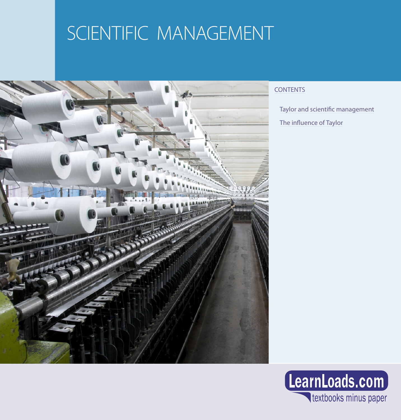## SCIENTIFIC MANAGEMENT



## **CONTENTS**

[Taylor and scientific management](#page-1-0)

[The influence of Taylor](#page-1-0)

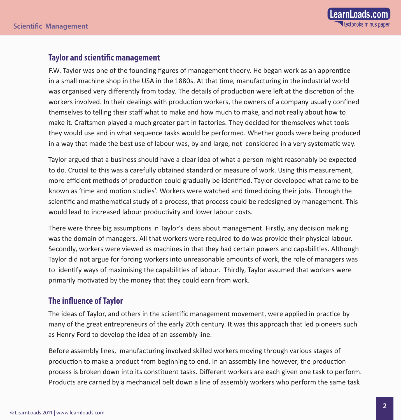## <span id="page-1-0"></span>**Taylor and scientific management**

F.W. Taylor was one of the founding figures of management theory. He began work as an apprentice in a small machine shop in the USA in the 1880s. At that time, manufacturing in the industrial world was organised very differently from today. The details of production were left at the discretion of the workers involved. In their dealings with production workers, the owners of a company usually confined themselves to telling their staff what to make and how much to make, and not really about how to make it. Craftsmen played a much greater part in factories. They decided for themselves what tools they would use and in what sequence tasks would be performed. Whether goods were being produced in a way that made the best use of labour was, by and large, not considered in a very systematic way.

Taylor argued that a business should have a clear idea of what a person might reasonably be expected to do. Crucial to this was a carefully obtained standard or measure of work. Using this measurement, more efficient methods of production could gradually be identified. Taylor developed what came to be known as 'time and motion studies'. Workers were watched and timed doing their jobs. Through the scientific and mathematical study of a process, that process could be redesigned by management. This would lead to increased labour productivity and lower labour costs.

There were three big assumptions in Taylor's ideas about management. Firstly, any decision making was the domain of managers. All that workers were required to do was provide their physical labour. Secondly, workers were viewed as machines in that they had certain powers and capabilities. Although Taylor did not argue for forcing workers into unreasonable amounts of work, the role of managers was to identify ways of maximising the capabilities of labour. Thirdly, Taylor assumed that workers were primarily motivated by the money that they could earn from work.

## **The influence of Taylor**

The ideas of Taylor, and others in the scientific management movement, were applied in practice by many of the great entrepreneurs of the early 20th century. It was this approach that led pioneers such as Henry Ford to develop the idea of an assembly line.

Before assembly lines, manufacturing involved skilled workers moving through various stages of production to make a product from beginning to end. In an assembly line however, the production process is broken down into its constituent tasks. Different workers are each given one task to perform. Products are carried by a mechanical belt down a line of assembly workers who perform the same task